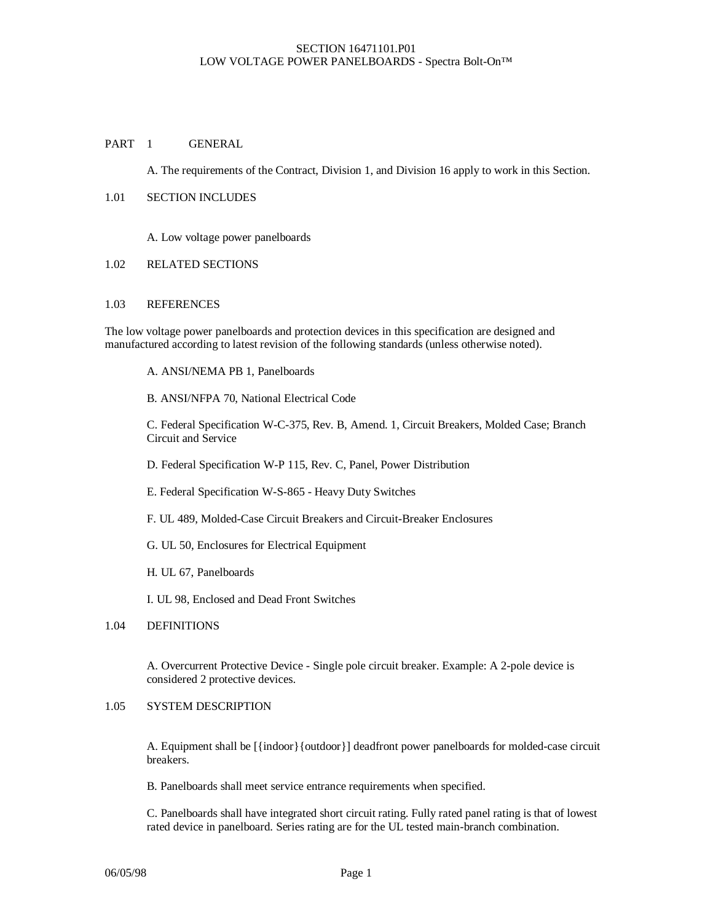## PART 1 GENERAL

A. The requirements of the Contract, Division 1, and Division 16 apply to work in this Section.

#### 1.01 SECTION INCLUDES

A. Low voltage power panelboards

### 1.02 RELATED SECTIONS

#### 1.03 REFERENCES

The low voltage power panelboards and protection devices in this specification are designed and manufactured according to latest revision of the following standards (unless otherwise noted).

- A. ANSI/NEMA PB 1, Panelboards
- B. ANSI/NFPA 70, National Electrical Code

C. Federal Specification W-C-375, Rev. B, Amend. 1, Circuit Breakers, Molded Case; Branch Circuit and Service

- D. Federal Specification W-P 115, Rev. C, Panel, Power Distribution
- E. Federal Specification W-S-865 Heavy Duty Switches
- F. UL 489, Molded-Case Circuit Breakers and Circuit-Breaker Enclosures
- G. UL 50, Enclosures for Electrical Equipment
- H. UL 67, Panelboards

I. UL 98, Enclosed and Dead Front Switches

#### 1.04 DEFINITIONS

A. Overcurrent Protective Device - Single pole circuit breaker. Example: A 2-pole device is considered 2 protective devices.

# 1.05 SYSTEM DESCRIPTION

A. Equipment shall be [{indoor}{outdoor}] deadfront power panelboards for molded-case circuit breakers.

B. Panelboards shall meet service entrance requirements when specified.

C. Panelboards shall have integrated short circuit rating. Fully rated panel rating is that of lowest rated device in panelboard. Series rating are for the UL tested main-branch combination.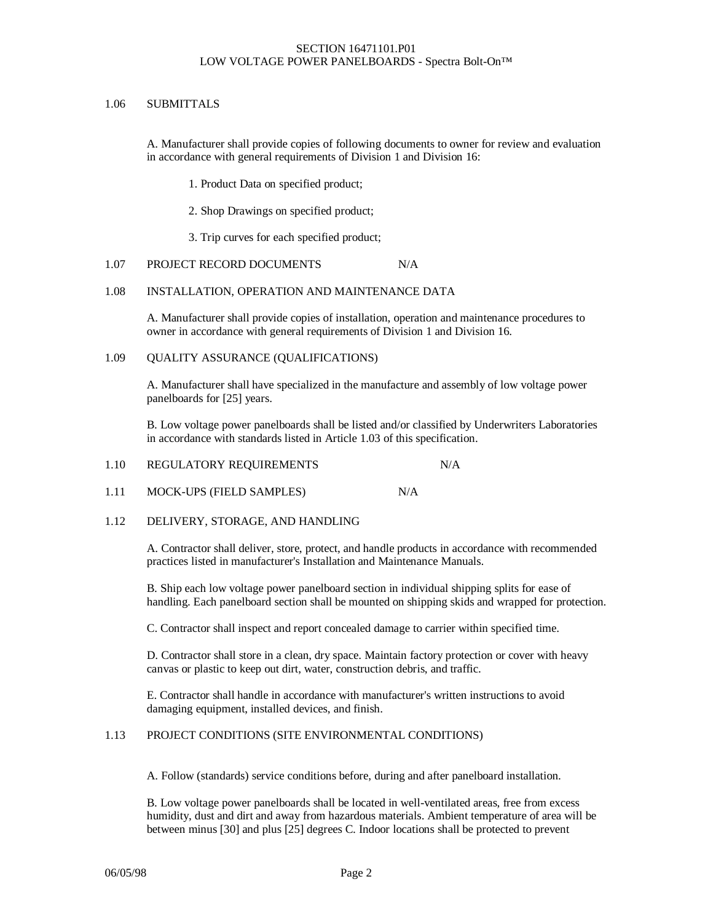## 1.06 SUBMITTALS

A. Manufacturer shall provide copies of following documents to owner for review and evaluation in accordance with general requirements of Division 1 and Division 16:

1. Product Data on specified product;

2. Shop Drawings on specified product;

3. Trip curves for each specified product;

# 1.07 PROJECT RECORD DOCUMENTS N/A

### 1.08 INSTALLATION, OPERATION AND MAINTENANCE DATA

A. Manufacturer shall provide copies of installation, operation and maintenance procedures to owner in accordance with general requirements of Division 1 and Division 16.

# 1.09 QUALITY ASSURANCE (QUALIFICATIONS)

A. Manufacturer shall have specialized in the manufacture and assembly of low voltage power panelboards for [25] years.

B. Low voltage power panelboards shall be listed and/or classified by Underwriters Laboratories in accordance with standards listed in Article 1.03 of this specification.

| 1.10 | REGULATORY REQUIREMENTS | N/A |
|------|-------------------------|-----|
|------|-------------------------|-----|

1.11 MOCK-UPS (FIELD SAMPLES) N/A

## 1.12 DELIVERY, STORAGE, AND HANDLING

A. Contractor shall deliver, store, protect, and handle products in accordance with recommended practices listed in manufacturer's Installation and Maintenance Manuals.

B. Ship each low voltage power panelboard section in individual shipping splits for ease of handling. Each panelboard section shall be mounted on shipping skids and wrapped for protection.

C. Contractor shall inspect and report concealed damage to carrier within specified time.

D. Contractor shall store in a clean, dry space. Maintain factory protection or cover with heavy canvas or plastic to keep out dirt, water, construction debris, and traffic.

E. Contractor shall handle in accordance with manufacturer's written instructions to avoid damaging equipment, installed devices, and finish.

## 1.13 PROJECT CONDITIONS (SITE ENVIRONMENTAL CONDITIONS)

A. Follow (standards) service conditions before, during and after panelboard installation.

B. Low voltage power panelboards shall be located in well-ventilated areas, free from excess humidity, dust and dirt and away from hazardous materials. Ambient temperature of area will be between minus [30] and plus [25] degrees C. Indoor locations shall be protected to prevent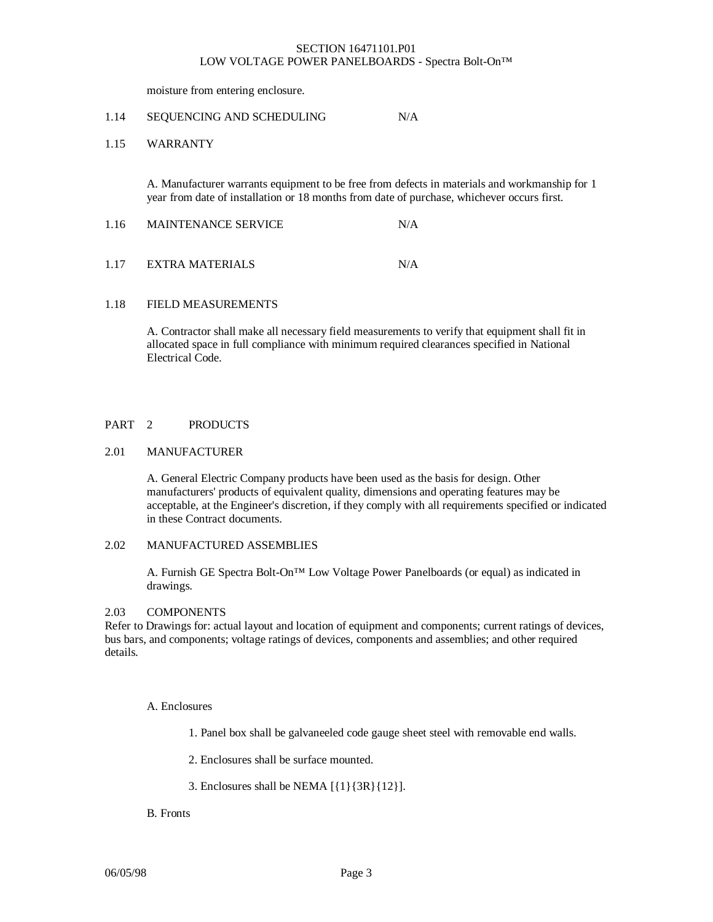moisture from entering enclosure.

#### 1.14 SEQUENCING AND SCHEDULING N/A

# 1.15 WARRANTY

A. Manufacturer warrants equipment to be free from defects in materials and workmanship for 1 year from date of installation or 18 months from date of purchase, whichever occurs first.

| 1.16 | <b>MAINTENANCE SERVICE</b> | N/A |
|------|----------------------------|-----|
|      |                            |     |

# 1.17 EXTRA MATERIALS N/A

#### 1.18 FIELD MEASUREMENTS

A. Contractor shall make all necessary field measurements to verify that equipment shall fit in allocated space in full compliance with minimum required clearances specified in National Electrical Code.

#### PART 2 PRODUCTS

#### 2.01 MANUFACTURER

A. General Electric Company products have been used as the basis for design. Other manufacturers' products of equivalent quality, dimensions and operating features may be acceptable, at the Engineer's discretion, if they comply with all requirements specified or indicated in these Contract documents.

# 2.02 MANUFACTURED ASSEMBLIES

A. Furnish GE Spectra Bolt-On™ Low Voltage Power Panelboards (or equal) as indicated in drawings.

#### 2.03 COMPONENTS

Refer to Drawings for: actual layout and location of equipment and components; current ratings of devices, bus bars, and components; voltage ratings of devices, components and assemblies; and other required details.

#### A. Enclosures

1. Panel box shall be galvaneeled code gauge sheet steel with removable end walls.

- 2. Enclosures shall be surface mounted.
- 3. Enclosures shall be NEMA [{1}{3R}{12}].

# B. Fronts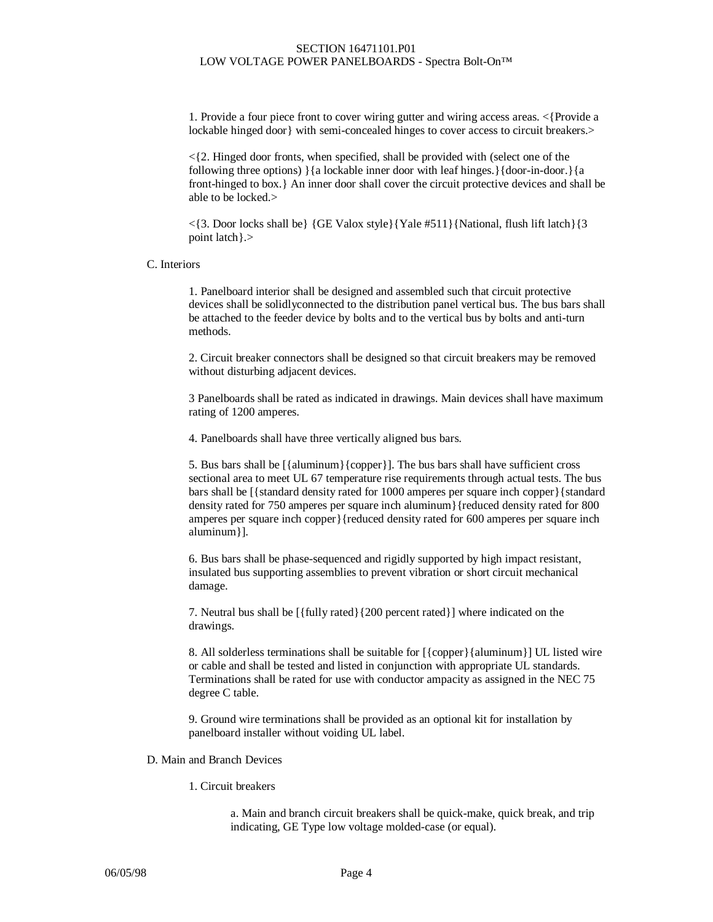1. Provide a four piece front to cover wiring gutter and wiring access areas. <{Provide a lockable hinged door} with semi-concealed hinges to cover access to circuit breakers.>

 $\leq$  {2. Hinged door fronts, when specified, shall be provided with (select one of the following three options) }{a lockable inner door with leaf hinges.}{door-in-door.}{a front-hinged to box.} An inner door shall cover the circuit protective devices and shall be able to be locked.>

<{3. Door locks shall be} {GE Valox style}{Yale #511}{National, flush lift latch}{3 point latch}.>

C. Interiors

1. Panelboard interior shall be designed and assembled such that circuit protective devices shall be solidlyconnected to the distribution panel vertical bus. The bus bars shall be attached to the feeder device by bolts and to the vertical bus by bolts and anti-turn methods.

2. Circuit breaker connectors shall be designed so that circuit breakers may be removed without disturbing adjacent devices.

3 Panelboards shall be rated as indicated in drawings. Main devices shall have maximum rating of 1200 amperes.

4. Panelboards shall have three vertically aligned bus bars.

5. Bus bars shall be [{aluminum}{copper}]. The bus bars shall have sufficient cross sectional area to meet UL 67 temperature rise requirements through actual tests. The bus bars shall be [{standard density rated for 1000 amperes per square inch copper}{standard density rated for 750 amperes per square inch aluminum}{reduced density rated for 800 amperes per square inch copper}{reduced density rated for 600 amperes per square inch aluminum}].

6. Bus bars shall be phase-sequenced and rigidly supported by high impact resistant, insulated bus supporting assemblies to prevent vibration or short circuit mechanical damage.

7. Neutral bus shall be [{fully rated}{200 percent rated}] where indicated on the drawings.

8. All solderless terminations shall be suitable for [{copper}{aluminum}] UL listed wire or cable and shall be tested and listed in conjunction with appropriate UL standards. Terminations shall be rated for use with conductor ampacity as assigned in the NEC 75 degree C table.

9. Ground wire terminations shall be provided as an optional kit for installation by panelboard installer without voiding UL label.

- D. Main and Branch Devices
	- 1. Circuit breakers

a. Main and branch circuit breakers shall be quick-make, quick break, and trip indicating, GE Type low voltage molded-case (or equal).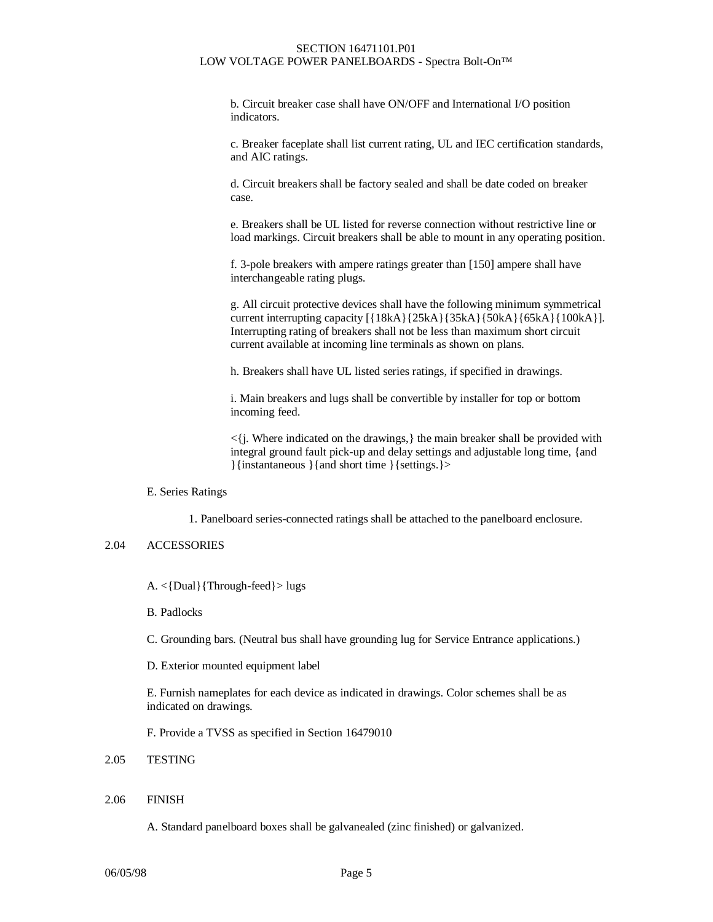b. Circuit breaker case shall have ON/OFF and International I/O position indicators.

c. Breaker faceplate shall list current rating, UL and IEC certification standards, and AIC ratings.

d. Circuit breakers shall be factory sealed and shall be date coded on breaker case.

e. Breakers shall be UL listed for reverse connection without restrictive line or load markings. Circuit breakers shall be able to mount in any operating position.

f. 3-pole breakers with ampere ratings greater than [150] ampere shall have interchangeable rating plugs.

g. All circuit protective devices shall have the following minimum symmetrical current interrupting capacity [{18kA}{25kA}{35kA}{50kA}{65kA}{100kA}]. Interrupting rating of breakers shall not be less than maximum short circuit current available at incoming line terminals as shown on plans.

h. Breakers shall have UL listed series ratings, if specified in drawings.

i. Main breakers and lugs shall be convertible by installer for top or bottom incoming feed.

 $\leq$ [i. Where indicated on the drawings, ] the main breaker shall be provided with integral ground fault pick-up and delay settings and adjustable long time, {and }{instantaneous }{and short time }{settings.}>

## E. Series Ratings

1. Panelboard series-connected ratings shall be attached to the panelboard enclosure.

# 2.04 ACCESSORIES

- A. <{Dual}{Through-feed}> lugs
- B. Padlocks
- C. Grounding bars. (Neutral bus shall have grounding lug for Service Entrance applications.)
- D. Exterior mounted equipment label

E. Furnish nameplates for each device as indicated in drawings. Color schemes shall be as indicated on drawings.

F. Provide a TVSS as specified in Section 16479010

2.05 TESTING

#### 2.06 FINISH

A. Standard panelboard boxes shall be galvanealed (zinc finished) or galvanized.